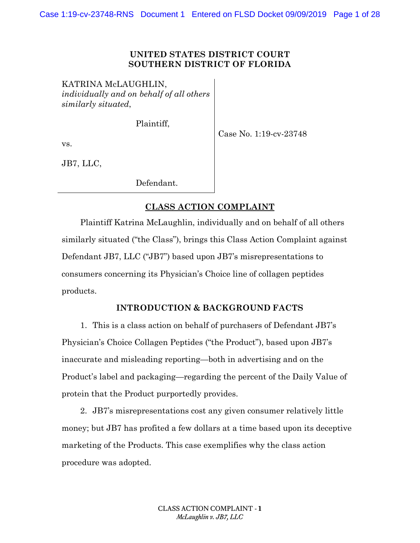### **UNITED STATES DISTRICT COURT SOUTHERN DISTRICT OF FLORIDA**

KATRINA McLAUGHLIN, *individually and on behalf of all others similarly situated*,

Plaintiff,

Case No. 1:19-cv-23748

vs.

JB7, LLC,

Defendant.

# **CLASS ACTION COMPLAINT**

Plaintiff Katrina McLaughlin, individually and on behalf of all others similarly situated ("the Class"), brings this Class Action Complaint against Defendant JB7, LLC ("JB7") based upon JB7's misrepresentations to consumers concerning its Physician's Choice line of collagen peptides products.

# **INTRODUCTION & BACKGROUND FACTS**

1. This is a class action on behalf of purchasers of Defendant JB7's Physician's Choice Collagen Peptides ("the Product"), based upon JB7's inaccurate and misleading reporting—both in advertising and on the Product's label and packaging—regarding the percent of the Daily Value of protein that the Product purportedly provides.

2. JB7's misrepresentations cost any given consumer relatively little money; but JB7 has profited a few dollars at a time based upon its deceptive marketing of the Products. This case exemplifies why the class action procedure was adopted.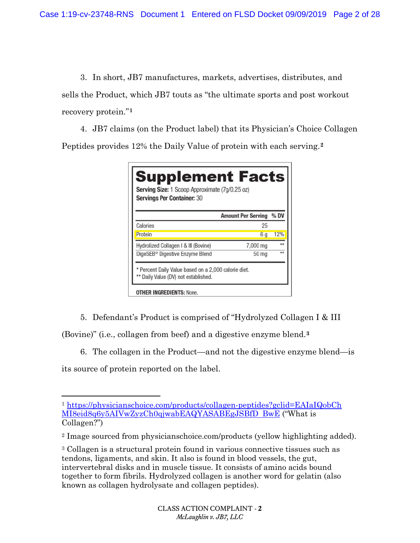3. In short, JB7 manufactures, markets, advertises, distributes, and sells the Product, which JB7 touts as "the ultimate sports and post workout recovery protein."**<sup>1</sup>**

4. JB7 claims (on the Product label) that its Physician's Choice Collagen Peptides provides 12% the Daily Value of protein with each serving.**<sup>2</sup>**

|                                             | <b>Amount Per Serving</b> | % DV |
|---------------------------------------------|---------------------------|------|
| Calories                                    | 25                        |      |
| Protein                                     | 6 g                       | 12%  |
| Hydrolized Collagen I & III (Bovine)        | 7,000 mg                  | **   |
| DigeSEB <sup>®</sup> Digestive Enzyme Blend | 50 <sub>mg</sub>          | $+4$ |

5. Defendant's Product is comprised of "Hydrolyzed Collagen I & III

(Bovine)" (i.e., collagen from beef) and a digestive enzyme blend.**<sup>3</sup>**

6. The collagen in the Product—and not the digestive enzyme blend—is

its source of protein reported on the label.

l <sup>1</sup> https://physicianschoice.com/products/collagen-peptides?gclid=EAIaIQobCh MI8eid8q6y5AIVwZyzCh0qjwabEAQYASABEgJSBfD BwE ("What is Collagen?")

<sup>2</sup> Image sourced from physicianschoice.com/products (yellow highlighting added).

<sup>3</sup> Collagen is a structural protein found in various connective tissues such as tendons, ligaments, and skin. It also is found in blood vessels, the gut, intervertebral disks and in muscle tissue. It consists of amino acids bound together to form fibrils. Hydrolyzed collagen is another word for gelatin (also known as collagen hydrolysate and collagen peptides).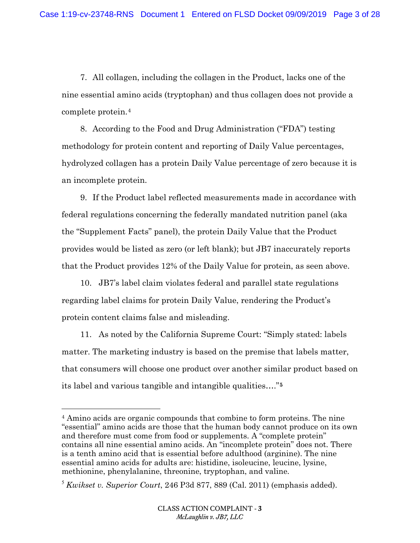7. All collagen, including the collagen in the Product, lacks one of the nine essential amino acids (tryptophan) and thus collagen does not provide a complete protein.4

8. According to the Food and Drug Administration ("FDA") testing methodology for protein content and reporting of Daily Value percentages, hydrolyzed collagen has a protein Daily Value percentage of zero because it is an incomplete protein.

9. If the Product label reflected measurements made in accordance with federal regulations concerning the federally mandated nutrition panel (aka the "Supplement Facts" panel), the protein Daily Value that the Product provides would be listed as zero (or left blank); but JB7 inaccurately reports that the Product provides 12% of the Daily Value for protein, as seen above.

10. JB7's label claim violates federal and parallel state regulations regarding label claims for protein Daily Value, rendering the Product's protein content claims false and misleading.

11. As noted by the California Supreme Court: "Simply stated: labels matter. The marketing industry is based on the premise that labels matter, that consumers will choose one product over another similar product based on its label and various tangible and intangible qualities…."**<sup>5</sup>**

 $\overline{a}$ 

<sup>4</sup> Amino acids are organic compounds that combine to form proteins. The nine "essential" amino acids are those that the human body cannot produce on its own and therefore must come from food or supplements. A "complete protein" contains all nine essential amino acids. An "incomplete protein" does not. There is a tenth amino acid that is essential before adulthood (arginine). The nine essential amino acids for adults are: histidine, isoleucine, leucine, lysine, methionine, phenylalanine, threonine, tryptophan, and valine.

<sup>5</sup> *Kwikset v. Superior Court*, 246 P3d 877, 889 (Cal. 2011) (emphasis added).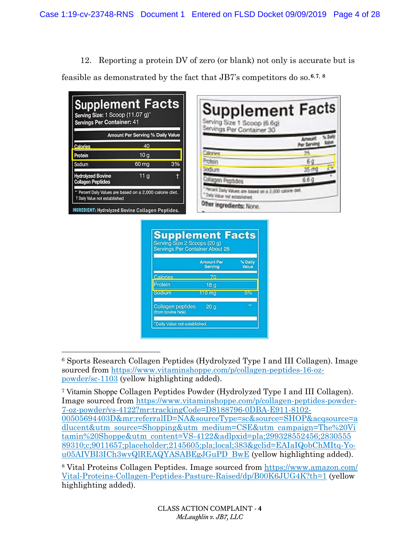12. Reporting a protein DV of zero (or blank) not only is accurate but is

feasible as demonstrated by the fact that JB7's competitors do so.**6**,**7**, **<sup>8</sup>**

| <b>Supplement Facts</b><br>Serving Size: 1 Scoop (11.07 g) <sup>*</sup><br>Servings Per Container: 41 |                                                         |    | <b>Supplement Facts</b><br>Serving Size 1 Scoop (6.6g)<br>Servings Per Container 30 |                 |
|-------------------------------------------------------------------------------------------------------|---------------------------------------------------------|----|-------------------------------------------------------------------------------------|-----------------|
|                                                                                                       | Amount Per Serving % Daily Value                        |    |                                                                                     |                 |
| Calories                                                                                              | 40                                                      |    |                                                                                     |                 |
| Protein                                                                                               | 10q                                                     |    | Simpse                                                                              |                 |
| Sodium                                                                                                | $60 \,\mathrm{mg}$                                      | 3% | masir                                                                               | Б               |
| <b>Hydrolyzed Bovine</b>                                                                              | 11 <sub>a</sub>                                         |    |                                                                                     | 35 <sub>m</sub> |
| <b>Collagen Peptides</b>                                                                              |                                                         |    | Alagen Peptider                                                                     | 6.6.9           |
| " Percent Daily Values are based on a 2,000 calorie diet.<br><sup>1</sup> Daily Value not established |                                                         |    | Now'll Daily Values are based on a 2,000 calorie diff<br>Only Value not established |                 |
|                                                                                                       | <b>INGREDIENT: Hydrolyzed Bovine Collagen Peptides.</b> |    | Other ingredients: None.                                                            |                 |

| <b>Servings Per Container About 28</b>         |                                     |                  |  |  |
|------------------------------------------------|-------------------------------------|------------------|--|--|
|                                                | <b>Amount Per</b><br><b>Serving</b> | % Daily<br>Value |  |  |
| Calories                                       | 70                                  |                  |  |  |
| Protein                                        | 18 <sub>q</sub>                     |                  |  |  |
| Sodium                                         | 110 mg                              | 5%               |  |  |
| <b>Collagen peptides</b><br>(from bovine hide) | 20 <sub>q</sub>                     | m                |  |  |

 $\overline{a}$ <sup>6</sup> Sports Research Collagen Peptides (Hydrolyzed Type I and III Collagen). Image sourced from https://www.vitaminshoppe.com/p/collagen-peptides-16-ozpowder/sc-1103 (yellow highlighting added).

<sup>7</sup> Vitamin Shoppe Collagen Peptides Powder (Hydrolyzed Type I and III Collagen). Image sourced from https://www.vitaminshoppe.com/p/collagen-peptides-powder-7-oz-powder/vs-4122?mr:trackingCode=D8188796-0DBA-E911-8102- 00505694403D&mr:referralID=NA&sourceType=sc&source=SHOP&acqsource=a dlucent&utm source=Shopping&utm medium=CSE&utm campaign=The%20Vi tamin%20Shoppe&utm content=VS-4122&adlpxid=pla;299328552456;2830555 89310;c;9011657;placeholder;2145605;pla;local;383&gclid=EAIaIQobChMItq-You05AIVBI3ICh3wvQlREAQYASABEgJGuPD BwE (yellow highlighting added).

<sup>8</sup> Vital Proteins Collagen Peptides. Image sourced from https://www.amazon.com/ Vital-Proteins-Collagen-Peptides-Pasture-Raised/dp/B00K6JUG4K?th=1 (yellow highlighting added).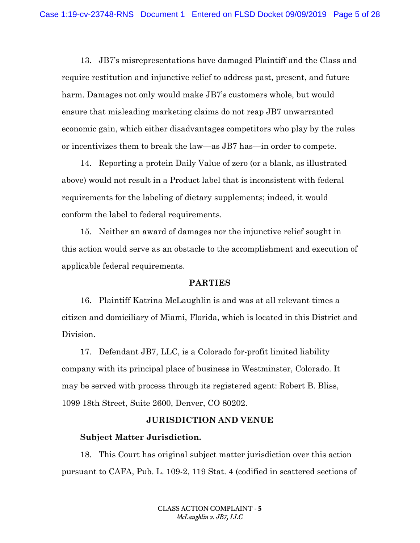13. JB7's misrepresentations have damaged Plaintiff and the Class and require restitution and injunctive relief to address past, present, and future harm. Damages not only would make JB7's customers whole, but would ensure that misleading marketing claims do not reap JB7 unwarranted economic gain, which either disadvantages competitors who play by the rules or incentivizes them to break the law—as JB7 has—in order to compete.

14. Reporting a protein Daily Value of zero (or a blank, as illustrated above) would not result in a Product label that is inconsistent with federal requirements for the labeling of dietary supplements; indeed, it would conform the label to federal requirements.

15. Neither an award of damages nor the injunctive relief sought in this action would serve as an obstacle to the accomplishment and execution of applicable federal requirements.

#### **PARTIES**

16. Plaintiff Katrina McLaughlin is and was at all relevant times a citizen and domiciliary of Miami, Florida, which is located in this District and Division.

17. Defendant JB7, LLC, is a Colorado for-profit limited liability company with its principal place of business in Westminster, Colorado. It may be served with process through its registered agent: Robert B. Bliss, 1099 18th Street, Suite 2600, Denver, CO 80202.

### **JURISDICTION AND VENUE**

### **Subject Matter Jurisdiction.**

18. This Court has original subject matter jurisdiction over this action pursuant to CAFA, Pub. L. 109-2, 119 Stat. 4 (codified in scattered sections of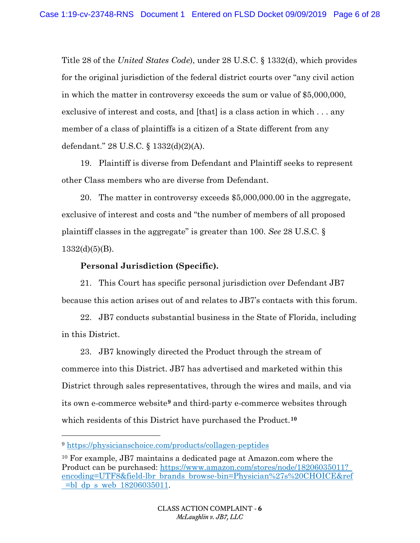Title 28 of the *United States Code*), under 28 U.S.C. § 1332(d), which provides for the original jurisdiction of the federal district courts over "any civil action in which the matter in controversy exceeds the sum or value of \$5,000,000, exclusive of interest and costs, and [that] is a class action in which . . . any member of a class of plaintiffs is a citizen of a State different from any defendant." 28 U.S.C. § 1332(d)(2)(A).

19. Plaintiff is diverse from Defendant and Plaintiff seeks to represent other Class members who are diverse from Defendant.

20. The matter in controversy exceeds \$5,000,000.00 in the aggregate, exclusive of interest and costs and "the number of members of all proposed plaintiff classes in the aggregate" is greater than 100. *See* 28 U.S.C. §  $1332(d)(5)(B)$ .

### **Personal Jurisdiction (Specific).**

21. This Court has specific personal jurisdiction over Defendant JB7 because this action arises out of and relates to JB7's contacts with this forum.

22. JB7 conducts substantial business in the State of Florida, including in this District.

23. JB7 knowingly directed the Product through the stream of commerce into this District. JB7 has advertised and marketed within this District through sales representatives, through the wires and mails, and via its own e-commerce website**<sup>9</sup>** and third-party e-commerce websites through which residents of this District have purchased the Product.**<sup>10</sup>**

 $\overline{a}$ 

<sup>9</sup> https://physicianschoice.com/products/collagen-peptides

<sup>10</sup> For example, JB7 maintains a dedicated page at Amazon.com where the Product can be purchased: https://www.amazon.com/stores/node/18206035011? encoding=UTF8&field-lbr brands browse-bin=Physician%27s%20CHOICE&ref =bl dp s web 18206035011.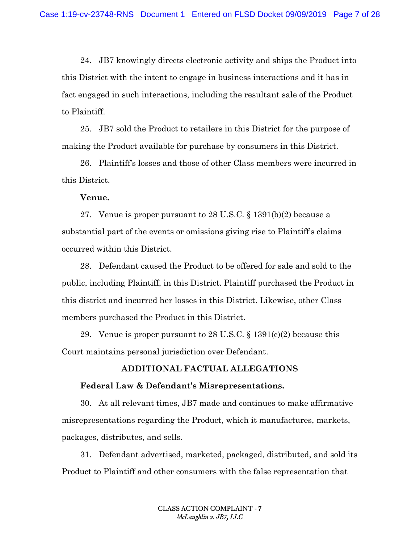24. JB7 knowingly directs electronic activity and ships the Product into this District with the intent to engage in business interactions and it has in fact engaged in such interactions, including the resultant sale of the Product to Plaintiff.

25. JB7 sold the Product to retailers in this District for the purpose of making the Product available for purchase by consumers in this District.

26. Plaintiff's losses and those of other Class members were incurred in this District.

#### **Venue.**

27. Venue is proper pursuant to 28 U.S.C. § 1391(b)(2) because a substantial part of the events or omissions giving rise to Plaintiff's claims occurred within this District.

28. Defendant caused the Product to be offered for sale and sold to the public, including Plaintiff, in this District. Plaintiff purchased the Product in this district and incurred her losses in this District. Likewise, other Class members purchased the Product in this District.

29. Venue is proper pursuant to 28 U.S.C.  $\S 1391(c)(2)$  because this Court maintains personal jurisdiction over Defendant.

### **ADDITIONAL FACTUAL ALLEGATIONS**

### **Federal Law & Defendant's Misrepresentations.**

30. At all relevant times, JB7 made and continues to make affirmative misrepresentations regarding the Product, which it manufactures, markets, packages, distributes, and sells.

31. Defendant advertised, marketed, packaged, distributed, and sold its Product to Plaintiff and other consumers with the false representation that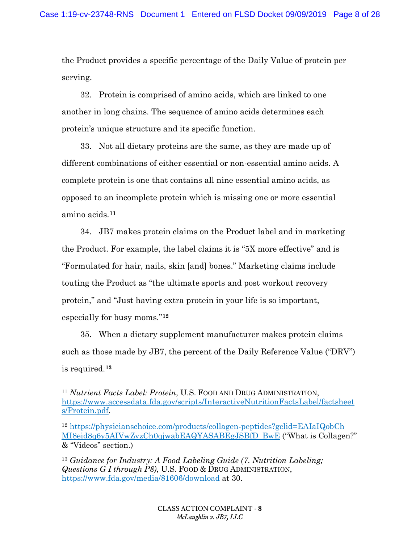the Product provides a specific percentage of the Daily Value of protein per serving.

32. Protein is comprised of amino acids, which are linked to one another in long chains. The sequence of amino acids determines each protein's unique structure and its specific function.

33. Not all dietary proteins are the same, as they are made up of different combinations of either essential or non-essential amino acids. A complete protein is one that contains all nine essential amino acids, as opposed to an incomplete protein which is missing one or more essential amino acids.**<sup>11</sup>**

34. JB7 makes protein claims on the Product label and in marketing the Product. For example, the label claims it is "5X more effective" and is "Formulated for hair, nails, skin [and] bones." Marketing claims include touting the Product as "the ultimate sports and post workout recovery protein," and "Just having extra protein in your life is so important, especially for busy moms."**<sup>12</sup>**

35. When a dietary supplement manufacturer makes protein claims such as those made by JB7, the percent of the Daily Reference Value ("DRV") is required.**<sup>13</sup>**

 $\overline{a}$ 

<sup>11</sup> *Nutrient Facts Label: Protein*, U.S. FOOD AND DRUG ADMINISTRATION, https://www.accessdata.fda.gov/scripts/InteractiveNutritionFactsLabel/factsheet s/Protein.pdf.

<sup>12</sup> https://physicianschoice.com/products/collagen-peptides?gclid=EAIaIQobCh MI8eid8q6y5AIVwZyzCh0qjwabEAQYASABEgJSBfD BwE ("What is Collagen?" & "Videos" section.)

<sup>13</sup> *Guidance for Industry: A Food Labeling Guide (7. Nutrition Labeling; Questions G I through P8)*, U.S. FOOD & DRUG ADMINISTRATION, https://www.fda.gov/media/81606/download at 30.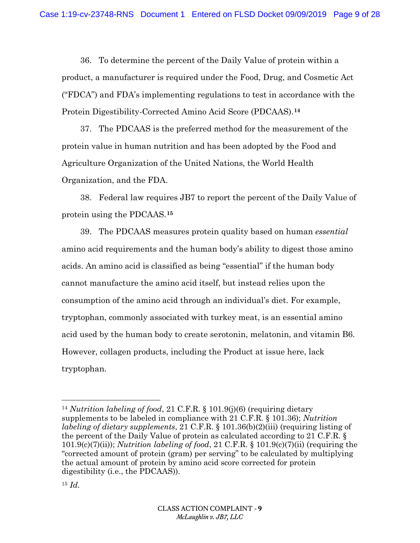36. To determine the percent of the Daily Value of protein within a product, a manufacturer is required under the Food, Drug, and Cosmetic Act ("FDCA") and FDA's implementing regulations to test in accordance with the Protein Digestibility-Corrected Amino Acid Score (PDCAAS).**<sup>14</sup>**

37. The PDCAAS is the preferred method for the measurement of the protein value in human nutrition and has been adopted by the Food and Agriculture Organization of the United Nations, the World Health Organization, and the FDA.

38. Federal law requires JB7 to report the percent of the Daily Value of protein using the PDCAAS.**<sup>15</sup>**

39. The PDCAAS measures protein quality based on human *essential* amino acid requirements and the human body's ability to digest those amino acids. An amino acid is classified as being "essential" if the human body cannot manufacture the amino acid itself, but instead relies upon the consumption of the amino acid through an individual's diet. For example, tryptophan, commonly associated with turkey meat, is an essential amino acid used by the human body to create serotonin, melatonin, and vitamin B6. However, collagen products, including the Product at issue here, lack tryptophan.

l

<sup>14</sup> *Nutrition labeling of food*, 21 C.F.R. § 101.9(j)(6) (requiring dietary supplements to be labeled in compliance with 21 C.F.R. § 101.36); *Nutrition labeling of dietary supplements*, 21 C.F.R. § 101.36(b)(2)(iii) (requiring listing of the percent of the Daily Value of protein as calculated according to 21 C.F.R. § 101.9(c)(7)(ii)); *Nutrition labeling of food*, 21 C.F.R. § 101.9(c)(7)(ii) (requiring the "corrected amount of protein (gram) per serving" to be calculated by multiplying the actual amount of protein by amino acid score corrected for protein digestibility (i.e., the PDCAAS)).

<sup>15</sup> *Id.*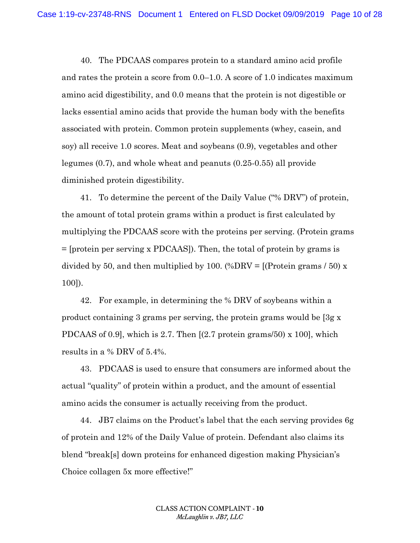40. The PDCAAS compares protein to a standard amino acid profile and rates the protein a score from 0.0–1.0. A score of 1.0 indicates maximum amino acid digestibility, and 0.0 means that the protein is not digestible or lacks essential amino acids that provide the human body with the benefits associated with protein. Common protein supplements (whey, casein, and soy) all receive 1.0 scores. Meat and soybeans (0.9), vegetables and other legumes (0.7), and whole wheat and peanuts (0.25-0.55) all provide diminished protein digestibility.

41. To determine the percent of the Daily Value ("% DRV") of protein, the amount of total protein grams within a product is first calculated by multiplying the PDCAAS score with the proteins per serving. (Protein grams = [protein per serving x PDCAAS]). Then, the total of protein by grams is divided by 50, and then multiplied by 100. (%DRV =  $[$ (Protein grams  $/$  50) x 100]).

42. For example, in determining the % DRV of soybeans within a product containing 3 grams per serving, the protein grams would be [3g x PDCAAS of 0.9], which is 2.7. Then [(2.7 protein grams/50) x 100], which results in a % DRV of 5.4%.

43. PDCAAS is used to ensure that consumers are informed about the actual "quality" of protein within a product, and the amount of essential amino acids the consumer is actually receiving from the product.

44. JB7 claims on the Product's label that the each serving provides 6g of protein and 12% of the Daily Value of protein. Defendant also claims its blend "break[s] down proteins for enhanced digestion making Physician's Choice collagen 5x more effective!"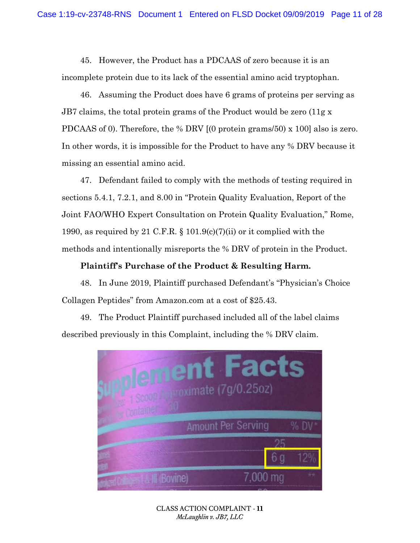45. However, the Product has a PDCAAS of zero because it is an incomplete protein due to its lack of the essential amino acid tryptophan.

46. Assuming the Product does have 6 grams of proteins per serving as JB7 claims, the total protein grams of the Product would be zero (11g x PDCAAS of 0). Therefore, the % DRV [(0 protein grams/50) x 100] also is zero. In other words, it is impossible for the Product to have any % DRV because it missing an essential amino acid.

47. Defendant failed to comply with the methods of testing required in sections 5.4.1, 7.2.1, and 8.00 in "Protein Quality Evaluation, Report of the Joint FAO/WHO Expert Consultation on Protein Quality Evaluation," Rome, 1990, as required by 21 C.F.R.  $\S$  101.9(c)(7)(ii) or it complied with the methods and intentionally misreports the % DRV of protein in the Product.

#### **Plaintiff's Purchase of the Product & Resulting Harm.**

48. In June 2019, Plaintiff purchased Defendant's "Physician's Choice Collagen Peptides" from Amazon.com at a cost of \$25.43.

49. The Product Plaintiff purchased included all of the label claims described previously in this Complaint, including the % DRV claim.



CLASS ACTION COMPLAINT - **11** *McLaughlin v. JB7, LLC*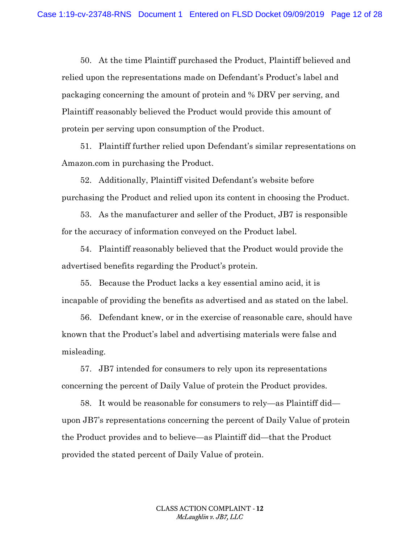50. At the time Plaintiff purchased the Product, Plaintiff believed and relied upon the representations made on Defendant's Product's label and packaging concerning the amount of protein and % DRV per serving, and Plaintiff reasonably believed the Product would provide this amount of protein per serving upon consumption of the Product.

51. Plaintiff further relied upon Defendant's similar representations on Amazon.com in purchasing the Product.

52. Additionally, Plaintiff visited Defendant's website before purchasing the Product and relied upon its content in choosing the Product.

53. As the manufacturer and seller of the Product, JB7 is responsible for the accuracy of information conveyed on the Product label.

54. Plaintiff reasonably believed that the Product would provide the advertised benefits regarding the Product's protein.

55. Because the Product lacks a key essential amino acid, it is incapable of providing the benefits as advertised and as stated on the label.

56. Defendant knew, or in the exercise of reasonable care, should have known that the Product's label and advertising materials were false and misleading.

57. JB7 intended for consumers to rely upon its representations concerning the percent of Daily Value of protein the Product provides.

58. It would be reasonable for consumers to rely—as Plaintiff did upon JB7's representations concerning the percent of Daily Value of protein the Product provides and to believe—as Plaintiff did—that the Product provided the stated percent of Daily Value of protein.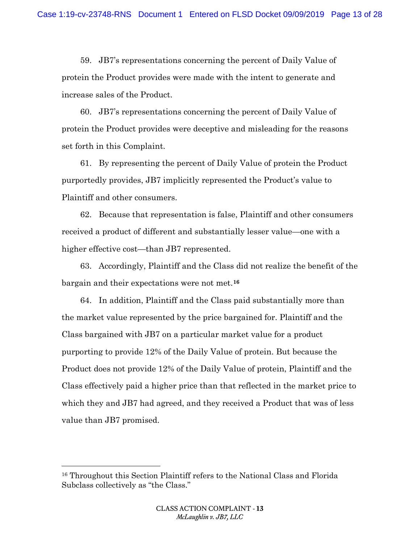59. JB7's representations concerning the percent of Daily Value of protein the Product provides were made with the intent to generate and increase sales of the Product.

60. JB7's representations concerning the percent of Daily Value of protein the Product provides were deceptive and misleading for the reasons set forth in this Complaint.

61. By representing the percent of Daily Value of protein the Product purportedly provides, JB7 implicitly represented the Product's value to Plaintiff and other consumers.

62. Because that representation is false, Plaintiff and other consumers received a product of different and substantially lesser value—one with a higher effective cost—than JB7 represented.

63. Accordingly, Plaintiff and the Class did not realize the benefit of the bargain and their expectations were not met.**<sup>16</sup>**

64. In addition, Plaintiff and the Class paid substantially more than the market value represented by the price bargained for. Plaintiff and the Class bargained with JB7 on a particular market value for a product purporting to provide 12% of the Daily Value of protein. But because the Product does not provide 12% of the Daily Value of protein, Plaintiff and the Class effectively paid a higher price than that reflected in the market price to which they and JB7 had agreed, and they received a Product that was of less value than JB7 promised.

l

<sup>16</sup> Throughout this Section Plaintiff refers to the National Class and Florida Subclass collectively as "the Class."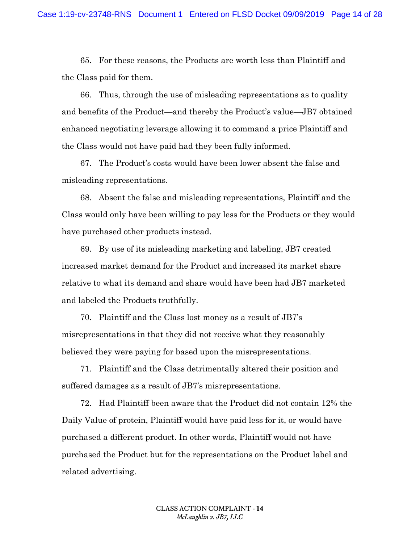65. For these reasons, the Products are worth less than Plaintiff and the Class paid for them.

66. Thus, through the use of misleading representations as to quality and benefits of the Product—and thereby the Product's value—JB7 obtained enhanced negotiating leverage allowing it to command a price Plaintiff and the Class would not have paid had they been fully informed.

67. The Product's costs would have been lower absent the false and misleading representations.

68. Absent the false and misleading representations, Plaintiff and the Class would only have been willing to pay less for the Products or they would have purchased other products instead.

69. By use of its misleading marketing and labeling, JB7 created increased market demand for the Product and increased its market share relative to what its demand and share would have been had JB7 marketed and labeled the Products truthfully.

70. Plaintiff and the Class lost money as a result of JB7's misrepresentations in that they did not receive what they reasonably believed they were paying for based upon the misrepresentations.

71. Plaintiff and the Class detrimentally altered their position and suffered damages as a result of JB7's misrepresentations.

72. Had Plaintiff been aware that the Product did not contain 12% the Daily Value of protein, Plaintiff would have paid less for it, or would have purchased a different product. In other words, Plaintiff would not have purchased the Product but for the representations on the Product label and related advertising.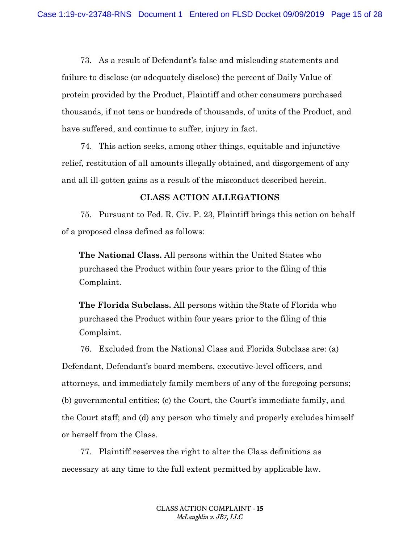73. As a result of Defendant's false and misleading statements and failure to disclose (or adequately disclose) the percent of Daily Value of protein provided by the Product, Plaintiff and other consumers purchased thousands, if not tens or hundreds of thousands, of units of the Product, and have suffered, and continue to suffer, injury in fact.

74. This action seeks, among other things, equitable and injunctive relief, restitution of all amounts illegally obtained, and disgorgement of any and all ill-gotten gains as a result of the misconduct described herein.

#### **CLASS ACTION ALLEGATIONS**

75. Pursuant to Fed. R. Civ. P. 23, Plaintiff brings this action on behalf of a proposed class defined as follows:

**The National Class.** All persons within the United States who purchased the Product within four years prior to the filing of this Complaint.

**The Florida Subclass.** All persons within theState of Florida who purchased the Product within four years prior to the filing of this Complaint.

76. Excluded from the National Class and Florida Subclass are: (a) Defendant, Defendant's board members, executive-level officers, and attorneys, and immediately family members of any of the foregoing persons; (b) governmental entities; (c) the Court, the Court's immediate family, and the Court staff; and (d) any person who timely and properly excludes himself or herself from the Class.

77. Plaintiff reserves the right to alter the Class definitions as necessary at any time to the full extent permitted by applicable law.

> CLASS ACTION COMPLAINT - **15** *McLaughlin v. JB7, LLC*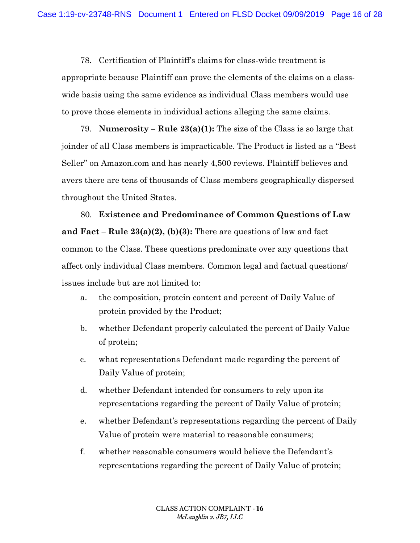78. Certification of Plaintiff's claims for class-wide treatment is appropriate because Plaintiff can prove the elements of the claims on a classwide basis using the same evidence as individual Class members would use to prove those elements in individual actions alleging the same claims.

79. **Numerosity – Rule 23(a)(1):** The size of the Class is so large that joinder of all Class members is impracticable. The Product is listed as a "Best Seller" on Amazon.com and has nearly 4,500 reviews. Plaintiff believes and avers there are tens of thousands of Class members geographically dispersed throughout the United States.

80. **Existence and Predominance of Common Questions of Law and Fact – Rule 23(a)(2), (b)(3):** There are questions of law and fact common to the Class. These questions predominate over any questions that affect only individual Class members. Common legal and factual questions/ issues include but are not limited to:

- a. the composition, protein content and percent of Daily Value of protein provided by the Product;
- b. whether Defendant properly calculated the percent of Daily Value of protein;
- c. what representations Defendant made regarding the percent of Daily Value of protein;
- d. whether Defendant intended for consumers to rely upon its representations regarding the percent of Daily Value of protein;
- e. whether Defendant's representations regarding the percent of Daily Value of protein were material to reasonable consumers;
- f. whether reasonable consumers would believe the Defendant's representations regarding the percent of Daily Value of protein;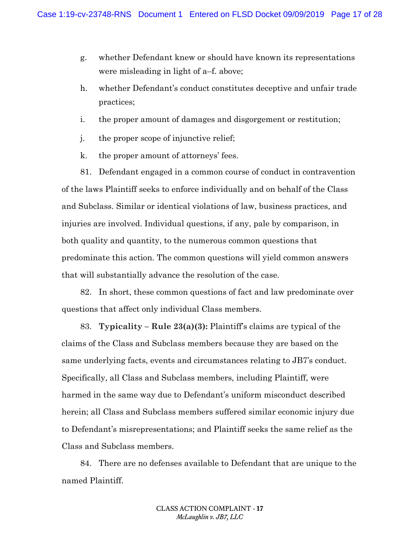- g. whether Defendant knew or should have known its representations were misleading in light of a–f. above;
- h. whether Defendant's conduct constitutes deceptive and unfair trade practices;
- i. the proper amount of damages and disgorgement or restitution;
- j. the proper scope of injunctive relief;
- k. the proper amount of attorneys' fees.

81. Defendant engaged in a common course of conduct in contravention of the laws Plaintiff seeks to enforce individually and on behalf of the Class and Subclass. Similar or identical violations of law, business practices, and injuries are involved. Individual questions, if any, pale by comparison, in both quality and quantity, to the numerous common questions that predominate this action. The common questions will yield common answers that will substantially advance the resolution of the case.

82. In short, these common questions of fact and law predominate over questions that affect only individual Class members.

83. **Typicality – Rule 23(a)(3):** Plaintiff's claims are typical of the claims of the Class and Subclass members because they are based on the same underlying facts, events and circumstances relating to JB7's conduct. Specifically, all Class and Subclass members, including Plaintiff, were harmed in the same way due to Defendant's uniform misconduct described herein; all Class and Subclass members suffered similar economic injury due to Defendant's misrepresentations; and Plaintiff seeks the same relief as the Class and Subclass members.

84. There are no defenses available to Defendant that are unique to the named Plaintiff.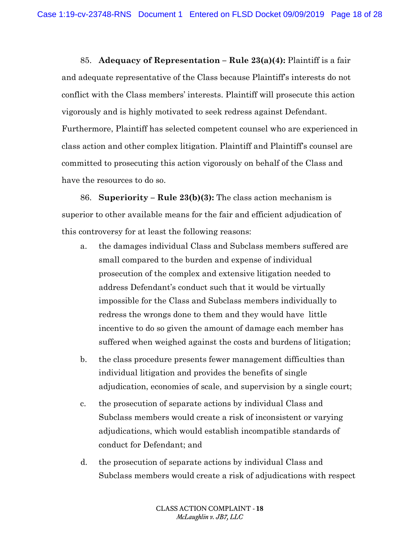85. **Adequacy of Representation – Rule 23(a)(4):** Plaintiff is a fair and adequate representative of the Class because Plaintiff's interests do not conflict with the Class members' interests. Plaintiff will prosecute this action vigorously and is highly motivated to seek redress against Defendant. Furthermore, Plaintiff has selected competent counsel who are experienced in class action and other complex litigation. Plaintiff and Plaintiff's counsel are committed to prosecuting this action vigorously on behalf of the Class and have the resources to do so.

86. **Superiority – Rule 23(b)(3):** The class action mechanism is superior to other available means for the fair and efficient adjudication of this controversy for at least the following reasons:

- a. the damages individual Class and Subclass members suffered are small compared to the burden and expense of individual prosecution of the complex and extensive litigation needed to address Defendant's conduct such that it would be virtually impossible for the Class and Subclass members individually to redress the wrongs done to them and they would have little incentive to do so given the amount of damage each member has suffered when weighed against the costs and burdens of litigation;
- b. the class procedure presents fewer management difficulties than individual litigation and provides the benefits of single adjudication, economies of scale, and supervision by a single court;
- c. the prosecution of separate actions by individual Class and Subclass members would create a risk of inconsistent or varying adjudications, which would establish incompatible standards of conduct for Defendant; and
- d. the prosecution of separate actions by individual Class and Subclass members would create a risk of adjudications with respect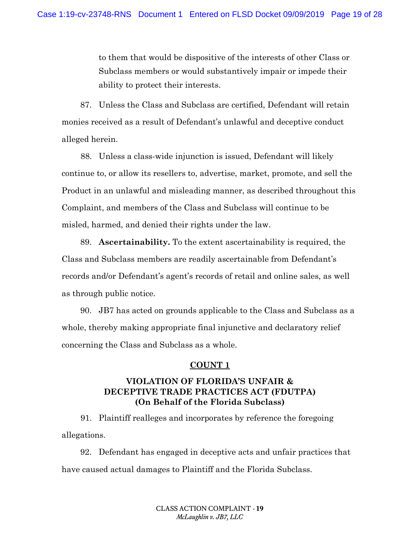to them that would be dispositive of the interests of other Class or Subclass members or would substantively impair or impede their ability to protect their interests.

87. Unless the Class and Subclass are certified, Defendant will retain monies received as a result of Defendant's unlawful and deceptive conduct alleged herein.

88. Unless a class-wide injunction is issued, Defendant will likely continue to, or allow its resellers to, advertise, market, promote, and sell the Product in an unlawful and misleading manner, as described throughout this Complaint, and members of the Class and Subclass will continue to be misled, harmed, and denied their rights under the law.

89. **Ascertainability.** To the extent ascertainability is required, the Class and Subclass members are readily ascertainable from Defendant's records and/or Defendant's agent's records of retail and online sales, as well as through public notice.

90. JB7 has acted on grounds applicable to the Class and Subclass as a whole, thereby making appropriate final injunctive and declaratory relief concerning the Class and Subclass as a whole.

### **COUNT 1**

# **VIOLATION OF FLORIDA'S UNFAIR & DECEPTIVE TRADE PRACTICES ACT (FDUTPA) (On Behalf of the Florida Subclass)**

91. Plaintiff realleges and incorporates by reference the foregoing allegations.

92. Defendant has engaged in deceptive acts and unfair practices that have caused actual damages to Plaintiff and the Florida Subclass.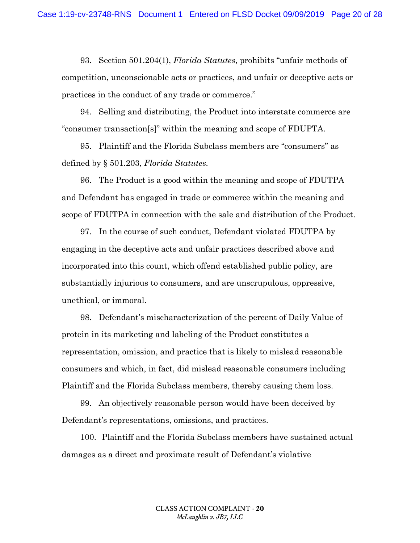93. Section 501.204(1), *Florida Statutes*, prohibits "unfair methods of competition, unconscionable acts or practices, and unfair or deceptive acts or practices in the conduct of any trade or commerce."

94. Selling and distributing, the Product into interstate commerce are "consumer transaction[s]" within the meaning and scope of FDUPTA.

95. Plaintiff and the Florida Subclass members are "consumers" as defined by § 501.203, *Florida Statutes.*

96. The Product is a good within the meaning and scope of FDUTPA and Defendant has engaged in trade or commerce within the meaning and scope of FDUTPA in connection with the sale and distribution of the Product.

97. In the course of such conduct, Defendant violated FDUTPA by engaging in the deceptive acts and unfair practices described above and incorporated into this count, which offend established public policy, are substantially injurious to consumers, and are unscrupulous, oppressive, unethical, or immoral.

98. Defendant's mischaracterization of the percent of Daily Value of protein in its marketing and labeling of the Product constitutes a representation, omission, and practice that is likely to mislead reasonable consumers and which, in fact, did mislead reasonable consumers including Plaintiff and the Florida Subclass members, thereby causing them loss.

99. An objectively reasonable person would have been deceived by Defendant's representations, omissions, and practices.

100. Plaintiff and the Florida Subclass members have sustained actual damages as a direct and proximate result of Defendant's violative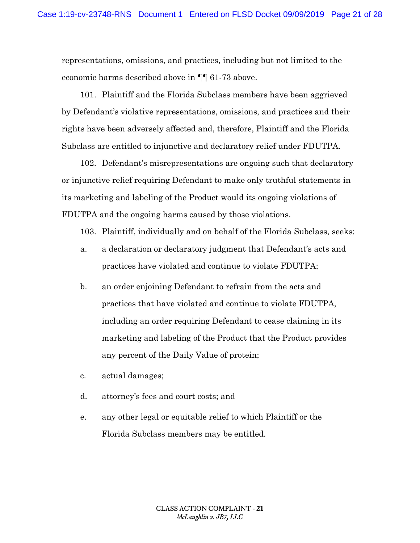representations, omissions, and practices, including but not limited to the economic harms described above in ¶¶ 61-73 above.

101. Plaintiff and the Florida Subclass members have been aggrieved by Defendant's violative representations, omissions, and practices and their rights have been adversely affected and, therefore, Plaintiff and the Florida Subclass are entitled to injunctive and declaratory relief under FDUTPA.

102. Defendant's misrepresentations are ongoing such that declaratory or injunctive relief requiring Defendant to make only truthful statements in its marketing and labeling of the Product would its ongoing violations of FDUTPA and the ongoing harms caused by those violations.

103. Plaintiff, individually and on behalf of the Florida Subclass, seeks:

- a. a declaration or declaratory judgment that Defendant's acts and practices have violated and continue to violate FDUTPA;
- b. an order enjoining Defendant to refrain from the acts and practices that have violated and continue to violate FDUTPA, including an order requiring Defendant to cease claiming in its marketing and labeling of the Product that the Product provides any percent of the Daily Value of protein;
- c. actual damages;
- d. attorney's fees and court costs; and
- e. any other legal or equitable relief to which Plaintiff or the Florida Subclass members may be entitled.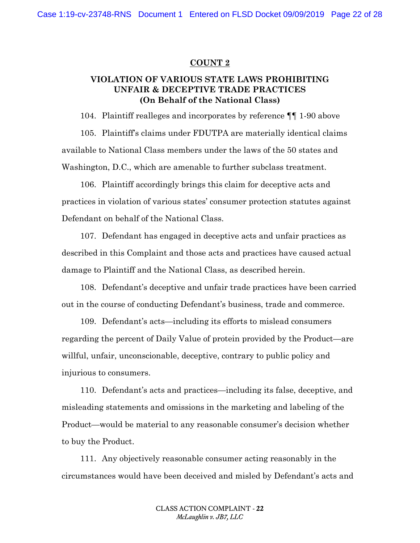#### **COUNT 2**

# **VIOLATION OF VARIOUS STATE LAWS PROHIBITING UNFAIR & DECEPTIVE TRADE PRACTICES (On Behalf of the National Class)**

104. Plaintiff realleges and incorporates by reference ¶¶ 1-90 above 105. Plaintiff's claims under FDUTPA are materially identical claims available to National Class members under the laws of the 50 states and Washington, D.C., which are amenable to further subclass treatment.

106. Plaintiff accordingly brings this claim for deceptive acts and practices in violation of various states' consumer protection statutes against Defendant on behalf of the National Class.

107. Defendant has engaged in deceptive acts and unfair practices as described in this Complaint and those acts and practices have caused actual damage to Plaintiff and the National Class, as described herein.

108. Defendant's deceptive and unfair trade practices have been carried out in the course of conducting Defendant's business, trade and commerce.

109. Defendant's acts—including its efforts to mislead consumers regarding the percent of Daily Value of protein provided by the Product—are willful, unfair, unconscionable, deceptive, contrary to public policy and injurious to consumers.

110. Defendant's acts and practices—including its false, deceptive, and misleading statements and omissions in the marketing and labeling of the Product—would be material to any reasonable consumer's decision whether to buy the Product.

111. Any objectively reasonable consumer acting reasonably in the circumstances would have been deceived and misled by Defendant's acts and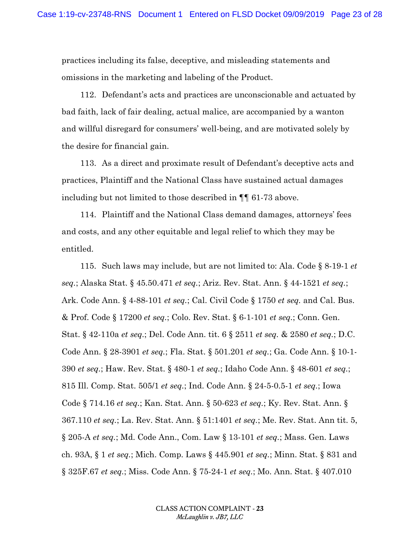practices including its false, deceptive, and misleading statements and omissions in the marketing and labeling of the Product.

112. Defendant's acts and practices are unconscionable and actuated by bad faith, lack of fair dealing, actual malice, are accompanied by a wanton and willful disregard for consumers' well-being, and are motivated solely by the desire for financial gain.

113. As a direct and proximate result of Defendant's deceptive acts and practices, Plaintiff and the National Class have sustained actual damages including but not limited to those described in ¶¶ 61-73 above.

114. Plaintiff and the National Class demand damages, attorneys' fees and costs, and any other equitable and legal relief to which they may be entitled.

115. Such laws may include, but are not limited to: Ala. Code § 8-19-1 *et seq.*; Alaska Stat. § 45.50.471 *et seq.*; Ariz. Rev. Stat. Ann. § 44-1521 *et seq.*; Ark. Code Ann. § 4-88-101 *et seq.*; Cal. Civil Code § 1750 *et seq.* and Cal. Bus. & Prof. Code § 17200 *et seq.*; Colo. Rev. Stat. § 6-1-101 *et seq.*; Conn. Gen. Stat. § 42-110a *et seq.*; Del. Code Ann. tit. 6 § 2511 *et seq.* & 2580 *et seq.*; D.C. Code Ann. § 28-3901 *et seq.*; Fla. Stat. § 501.201 *et seq.*; Ga. Code Ann. § 10-1- 390 *et seq.*; Haw. Rev. Stat. § 480-1 *et seq.*; Idaho Code Ann. § 48-601 *et seq.*; 815 Ill. Comp. Stat. 505/1 *et seq.*; Ind. Code Ann. § 24-5-0.5-1 *et seq.*; Iowa Code § 714.16 *et seq.*; Kan. Stat. Ann. § 50-623 *et seq.*; Ky. Rev. Stat. Ann. § 367.110 *et seq.*; La. Rev. Stat. Ann. § 51:1401 *et seq.*; Me. Rev. Stat. Ann tit. 5, § 205-A *et seq.*; Md. Code Ann., Com. Law § 13-101 *et seq.*; Mass. Gen. Laws ch. 93A, § 1 *et seq.*; Mich. Comp. Laws § 445.901 *et seq.*; Minn. Stat. § 831 and § 325F.67 *et seq.*; Miss. Code Ann. § 75-24-1 *et seq.*; Mo. Ann. Stat. § 407.010

> CLASS ACTION COMPLAINT - **23** *McLaughlin v. JB7, LLC*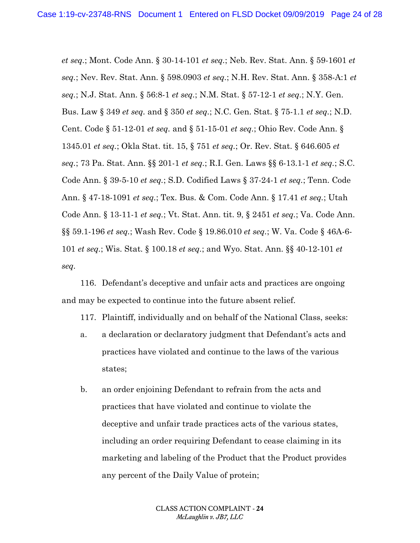*et seq.*; Mont. Code Ann. § 30-14-101 *et seq.*; Neb. Rev. Stat. Ann. § 59-1601 *et seq.*; Nev. Rev. Stat. Ann. § 598.0903 *et seq.*; N.H. Rev. Stat. Ann. § 358-A:1 *et seq.*; N.J. Stat. Ann. § 56:8-1 *et seq.*; N.M. Stat. § 57-12-1 *et seq.*; N.Y. Gen. Bus. Law § 349 *et seq.* and § 350 *et seq.*; N.C. Gen. Stat. § 75-1.1 *et seq.*; N.D. Cent. Code § 51-12-01 *et seq.* and § 51-15-01 *et seq.*; Ohio Rev. Code Ann. § 1345.01 *et seq.*; Okla Stat. tit. 15, § 751 *et seq.*; Or. Rev. Stat. § 646.605 *et seq.*; 73 Pa. Stat. Ann. §§ 201-1 *et seq.*; R.I. Gen. Laws §§ 6-13.1-1 *et seq.*; S.C. Code Ann. § 39-5-10 *et seq.*; S.D. Codified Laws § 37-24-1 *et seq.*; Tenn. Code Ann. § 47-18-1091 *et seq.*; Tex. Bus. & Com. Code Ann. § 17.41 *et seq.*; Utah Code Ann. § 13-11-1 *et seq.*; Vt. Stat. Ann. tit. 9, § 2451 *et seq.*; Va. Code Ann. §§ 59.1-196 *et seq.*; Wash Rev. Code § 19.86.010 *et seq.*; W. Va. Code § 46A-6- 101 *et seq.*; Wis. Stat. § 100.18 *et seq.*; and Wyo. Stat. Ann. §§ 40-12-101 *et seq.*

116. Defendant's deceptive and unfair acts and practices are ongoing and may be expected to continue into the future absent relief.

117. Plaintiff, individually and on behalf of the National Class, seeks:

- a. a declaration or declaratory judgment that Defendant's acts and practices have violated and continue to the laws of the various states;
- b. an order enjoining Defendant to refrain from the acts and practices that have violated and continue to violate the deceptive and unfair trade practices acts of the various states, including an order requiring Defendant to cease claiming in its marketing and labeling of the Product that the Product provides any percent of the Daily Value of protein;

CLASS ACTION COMPLAINT - **24** *McLaughlin v. JB7, LLC*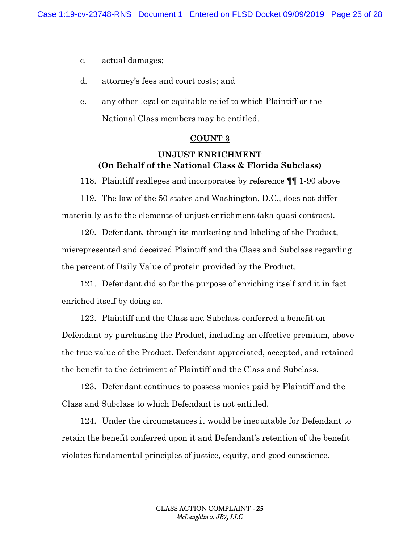c. actual damages;

- d. attorney's fees and court costs; and
- e. any other legal or equitable relief to which Plaintiff or the National Class members may be entitled.

#### **COUNT 3**

# **UNJUST ENRICHMENT (On Behalf of the National Class & Florida Subclass)**

118. Plaintiff realleges and incorporates by reference ¶¶ 1-90 above

119. The law of the 50 states and Washington, D.C., does not differ materially as to the elements of unjust enrichment (aka quasi contract).

120. Defendant, through its marketing and labeling of the Product, misrepresented and deceived Plaintiff and the Class and Subclass regarding the percent of Daily Value of protein provided by the Product.

121. Defendant did so for the purpose of enriching itself and it in fact enriched itself by doing so.

122. Plaintiff and the Class and Subclass conferred a benefit on Defendant by purchasing the Product, including an effective premium, above the true value of the Product. Defendant appreciated, accepted, and retained the benefit to the detriment of Plaintiff and the Class and Subclass.

123. Defendant continues to possess monies paid by Plaintiff and the Class and Subclass to which Defendant is not entitled.

124. Under the circumstances it would be inequitable for Defendant to retain the benefit conferred upon it and Defendant's retention of the benefit violates fundamental principles of justice, equity, and good conscience.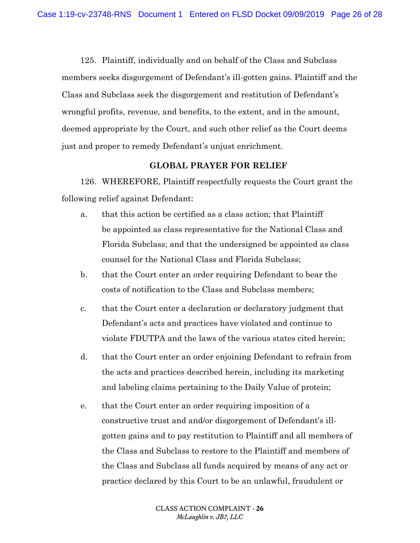125. Plaintiff, individually and on behalf of the Class and Subclass members seeks disgorgement of Defendant's ill-gotten gains. Plaintiff and the Class and Subclass seek the disgorgement and restitution of Defendant's wrongful profits, revenue, and benefits, to the extent, and in the amount, deemed appropriate by the Court, and such other relief as the Court deems just and proper to remedy Defendant's unjust enrichment.

#### **GLOBAL PRAYER FOR RELIEF**

126. WHEREFORE, Plaintiff respectfully requests the Court grant the following relief against Defendant:

- a. that this action be certified as a class action; that Plaintiff be appointed as class representative for the National Class and Florida Subclass; and that the undersigned be appointed as class counsel for the National Class and Florida Subclass;
- b. that the Court enter an order requiring Defendant to bear the costs of notification to the Class and Subclass members;
- c. that the Court enter a declaration or declaratory judgment that Defendant's acts and practices have violated and continue to violate FDUTPA and the laws of the various states cited herein;
- d. that the Court enter an order enjoining Defendant to refrain from the acts and practices described herein, including its marketing and labeling claims pertaining to the Daily Value of protein;
- e. that the Court enter an order requiring imposition of a constructive trust and and/or disgorgement of Defendant's illgotten gains and to pay restitution to Plaintiff and all members of the Class and Subclass to restore to the Plaintiff and members of the Class and Subclass all funds acquired by means of any act or practice declared by this Court to be an unlawful, fraudulent or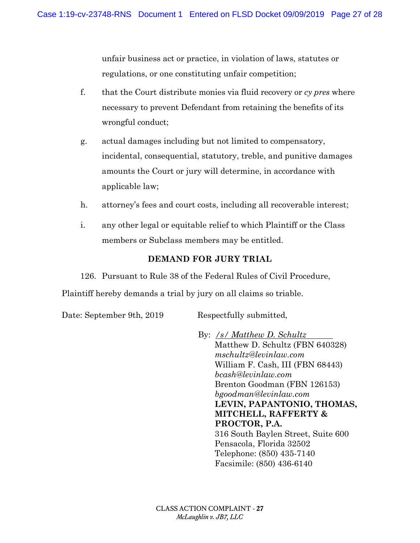unfair business act or practice, in violation of laws, statutes or regulations, or one constituting unfair competition;

- f. that the Court distribute monies via fluid recovery or *cy pres* where necessary to prevent Defendant from retaining the benefits of its wrongful conduct;
- g. actual damages including but not limited to compensatory, incidental, consequential, statutory, treble, and punitive damages amounts the Court or jury will determine, in accordance with applicable law;
- h. attorney's fees and court costs, including all recoverable interest;
- i. any other legal or equitable relief to which Plaintiff or the Class members or Subclass members may be entitled.

# **DEMAND FOR JURY TRIAL**

126. Pursuant to Rule 38 of the Federal Rules of Civil Procedure, Plaintiff hereby demands a trial by jury on all claims so triable.

Date: September 9th, 2019 Respectfully submitted,

By: */s/ Matthew D. Schultz*  Matthew D. Schultz (FBN 640328) *mschultz@levinlaw.com* William F. Cash, III (FBN 68443) *bcash@levinlaw.com* Brenton Goodman (FBN 126153) *bgoodman@levinlaw.com* **LEVIN, PAPANTONIO, THOMAS, MITCHELL, RAFFERTY & PROCTOR, P.A.** 316 South Baylen Street, Suite 600 Pensacola, Florida 32502 Telephone: (850) 435-7140 Facsimile: (850) 436-6140